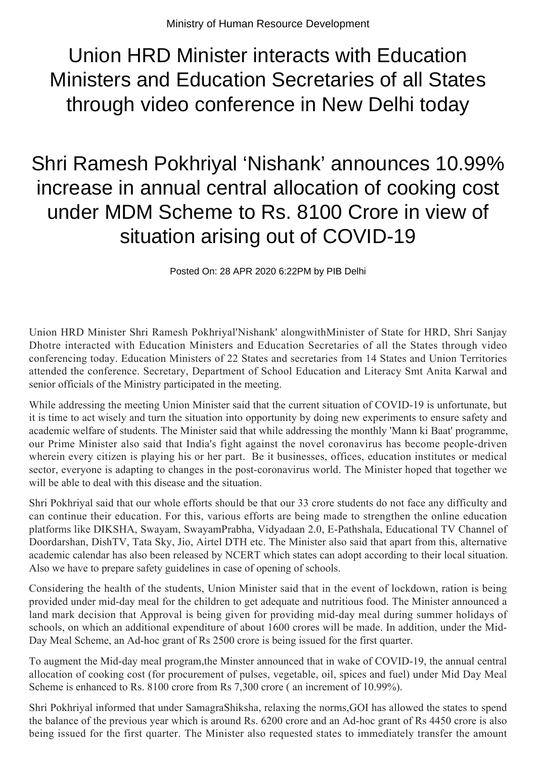Union HRD Minister interacts with Education Ministers and Education Secretaries of all States through video conference in New Delhi today

## Shri Ramesh Pokhriyal 'Nishank' announces 10.99% increase in annual central allocation of cooking cost under MDM Scheme to Rs. 8100 Crore in view of situation arising out of COVID-19

Posted On: 28 APR 2020 6:22PM by PIB Delhi

Union HRD Minister Shri Ramesh Pokhriyal'Nishank' alongwithMinister of State for HRD, Shri Sanjay Dhotre interacted with Education Ministers and Education Secretaries of all the States through video conferencing today. Education Ministers of 22 States and secretaries from 14 States and Union Territories attended the conference. Secretary, Department of School Education and Literacy Smt Anita Karwal and senior officials of the Ministry participated in the meeting.

While addressing the meeting Union Minister said that the current situation of COVID-19 is unfortunate, but it is time to act wisely and turn the situation into opportunity by doing new experiments to ensure safety and academic welfare of students. The Minister said that while addressing the monthly 'Mann ki Baat' programme, our Prime Minister also said that India's fight against the novel coronavirus has become people-driven wherein every citizen is playing his or her part. Be it businesses, offices, education institutes or medical sector, everyone is adapting to changes in the post-coronavirus world. The Minister hoped that together we will be able to deal with this disease and the situation.

Shri Pokhriyal said that our whole efforts should be that our 33 crore students do not face any difficulty and can continue their education. For this, various efforts are being made to strengthen the online education platforms like DIKSHA, Swayam, SwayamPrabha, Vidyadaan 2.0, E-Pathshala, Educational TV Channel of Doordarshan, DishTV, Tata Sky, Jio, Airtel DTH etc. The Minister also said that apart from this, alternative academic calendar has also been released by NCERT which states can adopt according to their local situation. Also we have to prepare safety guidelines in case of opening of schools.

Considering the health of the students, Union Minister said that in the event of lockdown, ration is being provided under mid-day meal for the children to get adequate and nutritious food. The Minister announced a land mark decision that Approval is being given for providing mid-day meal during summer holidays of schools, on which an additional expenditure of about 1600 crores will be made. In addition, under the Mid-Day Meal Scheme, an Ad-hoc grant of Rs 2500 crore is being issued for the first quarter.

To augment the Mid-day meal program,the Minster announced that in wake of COVID-19, the annual central allocation of cooking cost (for procurement of pulses, vegetable, oil, spices and fuel) under Mid Day Meal Scheme is enhanced to Rs. 8100 crore from Rs 7,300 crore ( an increment of 10.99%).

Shri Pokhriyal informed that under SamagraShiksha, relaxing the norms,GOI has allowed the states to spend the balance of the previous year which is around Rs. 6200 crore and an Ad-hoc grant of Rs 4450 crore is also being issued for the first quarter. The Minister also requested states to immediately transfer the amount